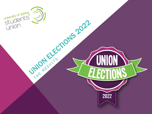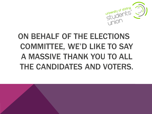

#### ON BEHALF OF THE ELECTIONS COMMITTEE, WE'D LIKE TO SAY A MASSIVE THANK YOU TO ALL THE CANDIDATES AND VOTERS.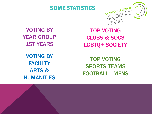

#### SOME STATISTICS

VOTING BY YEAR GROUP 1ST YEARS

VOTING BY **FACULTY** ARTS & HUMANITIES

TOP VOTING CLUBS & SOCS LGBTQ+ SOCIETY

TOP VOTING SPORTS TEAMS FOOTBALL - MENS

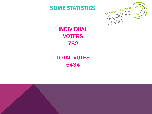

#### SOME STATISTICS

#### INDIVIDUAL **VOTERS** 782

#### TOTAL VOTES 5434

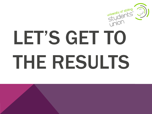

# LET'S GET TO THE RESULTS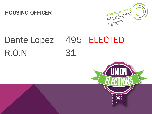#### HOUSING OFFICER



### Dante Lopez 495 ELECTED R.O.N 31

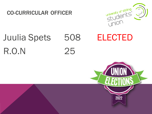#### CO-CURRICULAR OFFICER



### Juulia Spets 508 ELECTED R.O.N 25

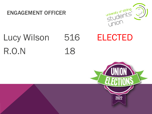#### ENGAGEMENT OFFICER



## R.O.N 18

## Lucy Wilson 516 ELECTED

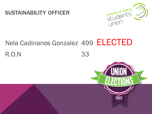



### Nela Cadinanos Gonzalez 499 ELECTED

#### R.O.N 33

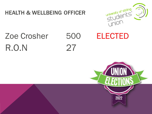#### **HEALTH & WELLBEING OFFICER**



#### **Zoe Crosher** R.O.N



#### **ELECTED**

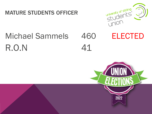#### MATURE STUDENTS OFFICER



### R.O.N 41 Michael Sammels 460 ELECTED

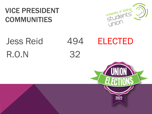#### VICE PRESIDENT COMMUNITIES



2022

## R.O.N 32

## Jess Reid 494 ELECTED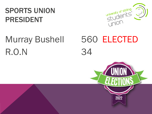#### SPORTS UNION PRESIDENT



## R.O.N 34



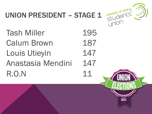

2022

#### UNION PRESIDENT - STAGE 1

Tash Miller 195 Calum Brown 187 Louis Utieyin 147 Anastasia Mendini 147 R.O.N 11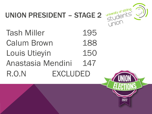

#### UNION PRESIDENT – STAGE 2

Tash Miller 195 Calum Brown 188 Louis Utieyin 150 Anastasia Mendini 147 R.O.N EXCLUDED

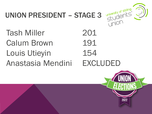

#### UNION PRESIDENT – STAGE 3

Tash Miller 201 Calum Brown 191 Louis Utieyin 154 Anastasia Mendini EXCLUDED

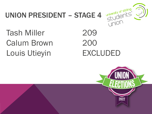#### **UNION PRESIDENT - STAGE 4**



**Tash Miller Calum Brown** Louis Utieyin

209 200 **EXCLUDED** 

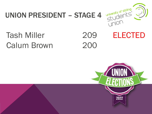#### university of stirling UNION PRESIDENT – STAGE 4